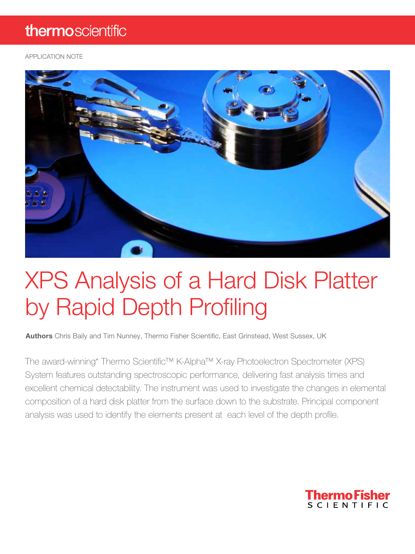### thermoscientific

APPLICATION NOTE



# XPS Analysis of a Hard Disk Platter by Rapid Depth Profiling

Authors Chris Baily and Tim Nunney, Thermo Fisher Scientific, East Grinstead, West Sussex, UK

The award-winning\* Thermo Scientific™ K-Alpha™ X-ray Photoelectron Spectrometer (XPS) System features outstanding spectroscopic performance, delivering fast analysis times and excellent chemical detectability. The instrument was used to investigate the changes in elemental composition of a hard disk platter from the surface down to the substrate. Principal component analysis was used to identify the elements present at each level of the depth profile.

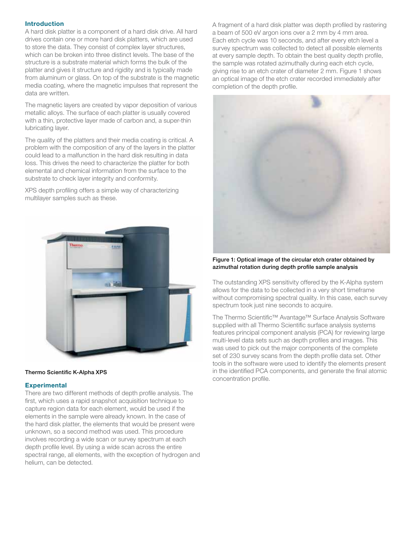#### Introduction

A hard disk platter is a component of a hard disk drive. All hard drives contain one or more hard disk platters, which are used to store the data. They consist of complex layer structures, which can be broken into three distinct levels. The base of the structure is a substrate material which forms the bulk of the platter and gives it structure and rigidity and is typically made from aluminum or glass. On top of the substrate is the magnetic media coating, where the magnetic impulses that represent the data are written.

The magnetic layers are created by vapor deposition of various metallic alloys. The surface of each platter is usually covered with a thin, protective layer made of carbon and, a super-thin lubricating layer.

The quality of the platters and their media coating is critical. A problem with the composition of any of the layers in the platter could lead to a malfunction in the hard disk resulting in data loss. This drives the need to characterize the platter for both elemental and chemical information from the surface to the substrate to check layer integrity and conformity.

XPS depth profiling offers a simple way of characterizing multilayer samples such as these.



#### Thermo Scientific K-Alpha XPS

#### **Experimental**

There are two different methods of depth profile analysis. The first, which uses a rapid snapshot acquisition technique to capture region data for each element, would be used if the elements in the sample were already known. In the case of the hard disk platter, the elements that would be present were unknown, so a second method was used. This procedure involves recording a wide scan or survey spectrum at each depth profile level. By using a wide scan across the entire spectral range, all elements, with the exception of hydrogen and helium, can be detected.

A fragment of a hard disk platter was depth profiled by rastering a beam of 500 eV argon ions over a 2 mm by 4 mm area. Each etch cycle was 10 seconds, and after every etch level a survey spectrum was collected to detect all possible elements at every sample depth. To obtain the best quality depth profile, the sample was rotated azimuthally during each etch cycle, giving rise to an etch crater of diameter 2 mm. Figure 1 shows an optical image of the etch crater recorded immediately after completion of the depth profile.



Figure 1: Optical image of the circular etch crater obtained by azimuthal rotation during depth profile sample analysis

The outstanding XPS sensitivity offered by the K-Alpha system allows for the data to be collected in a very short timeframe without compromising spectral quality. In this case, each survey spectrum took just nine seconds to acquire.

The Thermo Scientific™ Avantage™ Surface Analysis Software supplied with all Thermo Scientific surface analysis systems features principal component analysis (PCA) for reviewing large multi-level data sets such as depth profiles and images. This was used to pick out the major components of the complete set of 230 survey scans from the depth profile data set. Other tools in the software were used to identify the elements present in the identified PCA components, and generate the final atomic concentration profile.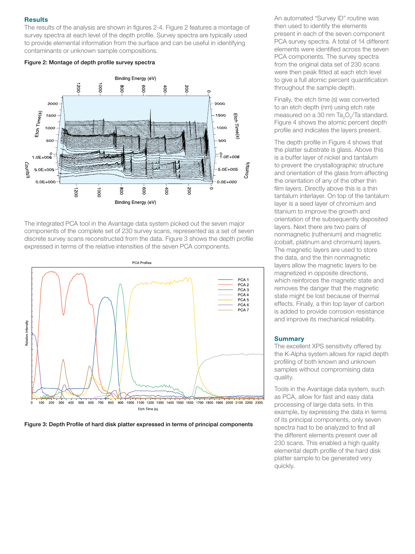#### **Results**

The results of the analysis are shown in figures 2-4. Figure 2 features a montage of survey spectra at each level of the depth profile. Survey spectra are typically used to provide elemental information from the surface and can be useful in identifying contaminants or unknown sample compositions.

#### Figure 2: Montage of depth profile survey spectra



The integrated PCA tool in the Avantage data system picked out the seven major components of the complete set of 230 survey scans, represented as a set of seven discrete survey scans reconstructed from the data. Figure 3 shows the depth profile expressed in terms of the relative intensities of the seven PCA components.



Figure 3: Depth Profile of hard disk platter expressed in terms of principal components

An automated "Survey ID" routine was then used to identify the elements present in each of the seven component PCA survey spectra. A total of 14 different elements were identified across the seven PCA components. The survey spectra from the original data set of 230 scans were then peak fitted at each etch level to give a full atomic percent quantification throughout the sample depth.

Finally, the etch time (s) was converted to an etch depth (nm) using etch rate measured on a 30 nm Ta $_{2}O_{5}$ /Ta standard. Figure 4 shows the atomic percent depth profile and indicates the layers present.

The depth profile in Figure 4 shows that the platter substrate is glass. Above this is a buffer layer of nickel and tantalum to prevent the crystallographic structure and orientation of the glass from affecting the orientation of any of the other thin film layers. Directly above this is a thin tantalum interlayer. On top of the tantalum layer is a seed layer of chromium and titanium to improve the growth and orientation of the subsequently deposited layers. Next there are two pairs of nonmagnetic (ruthenium) and magnetic (cobalt, platinum and chromium) layers. The magnetic layers are used to store the data, and the thin nonmagnetic layers allow the magnetic layers to be magnetized in opposite directions, which reinforces the magnetic state and removes the danger that the magnetic state might be lost because of thermal effects. Finally, a thin top layer of carbon is added to provide corrosion resistance and improve its mechanical reliability.

#### **Summary**

The excellent XPS sensitivity offered by the K-Alpha system allows for rapid depth profiling of both known and unknown samples without compromising data quality.

Tools in the Avantage data system, such as PCA, allow for fast and easy data processing of large data sets. In this example, by expressing the data in terms of its principal components, only seven spectra had to be analyzed to find all the different elements present over all 230 scans. This enabled a high quality elemental depth profile of the hard disk platter sample to be generated very quickly.